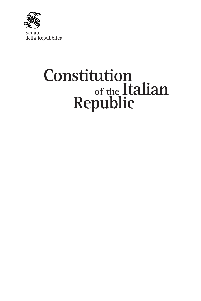

# **Constitution of the Italian Republic**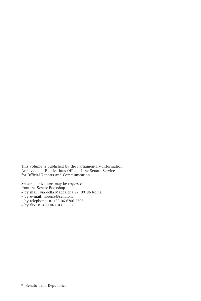This volume is published by the Parliamentary Information, Archives and Publications Office of the Senate Service for Official Reports and Communication

Senate publications may be requested from the Senate Bookshop

- **by mail:** via della Maddalena 27, 00186 Roma
- **by e-mail:** libreria@senato.it
- **by telephone:** n. +39 06 6706 2505
- **by fax:** n. +39 06 6706 3398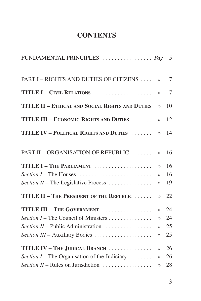# **CONTENTS**

| FUNDAMENTAL PRINCIPLES  Pag. 5                                     |               |                |
|--------------------------------------------------------------------|---------------|----------------|
| PART I - RIGHTS AND DUTIES OF CITIZENS                             | $\rightarrow$ | $\overline{7}$ |
| TITLE I - CIVIL RELATIONS                                          | $\rightarrow$ | $\tau$         |
| <b>TITLE II - ETHICAL AND SOCIAL RIGHTS AND DUTIES</b>             | $\rightarrow$ | 10             |
| <b>TITLE III - ECONOMIC RIGHTS AND DUTIES</b>                      | $\rightarrow$ | 12             |
| <b>TITLE IV - POLITICAL RIGHTS AND DUTIES</b>                      | $\rightarrow$ | 14             |
| PART II - ORGANISATION OF REPUBLIC                                 | $\rightarrow$ | 16             |
| TITLE I - THE PARLIAMENT                                           | $\rightarrow$ | 16             |
|                                                                    | $\rightarrow$ | 16             |
| Section II - The Legislative Process                               | $\rightarrow$ | 19             |
| <b>TITLE II - THE PRESIDENT OF THE REPUBLIC</b>                    | $\rightarrow$ | 22             |
| TITLE III - THE GOVERNMENT                                         | $\rightarrow$ | 24             |
| Section I – The Council of Ministers                               | $\rightarrow$ | 24             |
| Section II - Public Administration                                 | $\rightarrow$ | 25             |
| Section III - Auxiliary Bodies                                     | $\rightarrow$ | 25             |
| TITLE IV - THE JUDICAL BRANCH                                      | $\rightarrow$ | 26             |
| <i>Section I</i> – The Organisation of the Judiciary $\dots \dots$ | $\rightarrow$ | 26             |
| Section $II$ – Rules on Jurisdiction                               | $\rightarrow$ | 28             |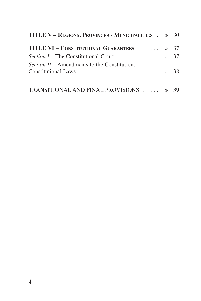| <b>TITLE V – REGIONS, PROVINCES - MUNICIPALITIES</b> . » 30 |  |
|-------------------------------------------------------------|--|
| <b>TITLE VI - CONSTITUTIONAL GUARANTEES</b> » 37            |  |
| <i>Section I</i> – The Constitutional Court  » 37           |  |
| <i>Section II –</i> Amendments to the Constitution.         |  |
| TRANSITIONAL AND FINAL PROVISIONS  » 39                     |  |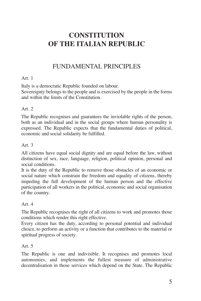# **CONSTITUTION OF THE ITALIAN REPUBLIC**

# FUNDAMENTAL PRINCIPLES

#### Art. 1

Italy is a democratic Republic founded on labour.

Sovereignty belongs to the people and is exercised by the people in the forms and within the limits of the Constitution.

#### Art<sub>2</sub>

The Republic recognises and guarantees the inviolable rights of the person, both as an individual and in the social groups where human personality is expressed. The Republic expects that the fundamental duties of political, economic and social solidarity be fulfilled.

#### Art. 3

All citizens have equal social dignity and are equal before the law, without distinction of sex, race, language, religion, political opinion, personal and social conditions.

It is the duty of the Republic to remove those obstacles of an economic or social nature which constrain the freedom and equality of citizens, thereby impeding the full development of the human person and the effective participation of all workers in the political, economic and social organisation of the country.

#### Art  $4$

The Republic recognises the right of all citizens to work and promotes those conditions which render this right effective.

Every citizen has the duty, according to personal potential and individual choice, to perform an activity or a function that contributes to the material or spiritual progress of society.

#### Art. 5

The Republic is one and indivisible. It recognises and promotes local autonomies, and implements the fullest measure of administrative decentralisation in those services which depend on the State. The Republic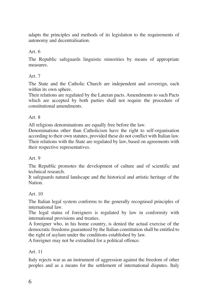adapts the principles and methods of its legislation to the requirements of autonomy and decentralisation.

#### Art. 6

The Republic safeguards linguistic minorities by means of appropriate measures.

#### Art. 7

The State and the Catholic Church are independent and sovereign, each within its own sphere.

Their relations are regulated by the Lateran pacts. Amendments to such Pacts which are accepted by both parties shall not require the procedure of constitutional amendments.

#### Art<sub>8</sub>

All religious denominations are equally free before the law.

Denominations other than Catholicism have the right to self-organisation according to their own statutes, provided these do not conflict with Italian law. Their relations with the State are regulated by law, based on agreements with their respective representatives.

#### Art. 9

The Republic promotes the development of culture and of scientific and technical research.

It safeguards natural landscape and the historical and artistic heritage of the **Nation** 

#### Art. 10

The Italian legal system conforms to the generally recognised principles of international law.

The legal status of foreigners is regulated by law in conformity with international provisions and treaties.

A foreigner who, in his home country, is denied the actual exercise of the democratic freedoms guaranteed by the Italian constitution shall be entitled to the right of asylum under the conditions established by law.

A foreigner may not be extradited for a political offence.

#### Art. 11

Italy rejects war as an instrument of aggression against the freedom of other peoples and as a means for the settlement of international disputes. Italy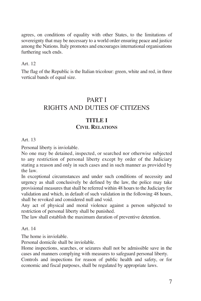agrees, on conditions of equality with other States, to the limitations of sovereignty that may be necessary to a world order ensuring peace and justice among the Nations. Italy promotes and encourages international organisations furthering such ends.

Art. 12

The flag of the Republic is the Italian tricolour: green, white and red, in three vertical bands of equal size.

# PART I RIGHTS AND DUTIES OF CITIZENS

#### **TITLE I CIVIL RELATIONS**

Art. 13

Personal liberty is inviolable.

No one may be detained, inspected, or searched nor otherwise subjected to any restriction of personal liberty except by order of the Judiciary stating a reason and only in such cases and in such manner as provided by the law.

In exceptional circumstances and under such conditions of necessity and urgency as shall conclusively be defined by the law, the police may take provisional measures that shall be referred within 48 hours to the Judiciary for validation and which, in default of such validation in the following 48 hours, shall be revoked and considered null and void.

Any act of physical and moral violence against a person subjected to restriction of personal liberty shall be punished.

The law shall establish the maximum duration of preventive detention.

Art. 14

The home is inviolable.

Personal domicile shall be inviolable.

Home inspections, searches, or seizures shall not be admissible save in the cases and manners complying with measures to safeguard personal liberty.

Controls and inspections for reason of public health and safety, or for economic and fiscal purposes, shall be regulated by appropriate laws.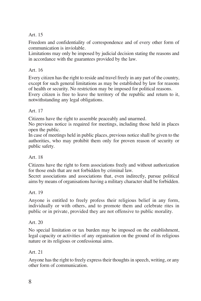Freedom and confidentiality of correspondence and of every other form of communication is inviolable.

Limitations may only be imposed by judicial decision stating the reasons and in accordance with the guarantees provided by the law.

#### Art. 16

Every citizen has the right to reside and travel freely in any part of the country, except for such general limitations as may be established by law for reasons of health or security. No restriction may be imposed for political reasons.

Every citizen is free to leave the territory of the republic and return to it, notwithstanding any legal obligations.

#### Art. 17

Citizens have the right to assemble peaceably and unarmed.

No previous notice is required for meetings, including those held in places open the public.

In case of meetings held in public places, previous notice shall be given to the authorities, who may prohibit them only for proven reason of security or public safety.

#### Art. 18

Citizens have the right to form associations freely and without authorization for those ends that are not forbidden by criminal law.

Secret associations and associations that, even indirectly, pursue political aims by means of organisations having a military character shall be forbidden.

#### Art. 19

Anyone is entitled to freely profess their religious belief in any form, individually or with others, and to promote them and celebrate rites in public or in private, provided they are not offensive to public morality.

#### Art $20$

No special limitation or tax burden may be imposed on the establishment, legal capacity or activities of any organisation on the ground of its religious nature or its religious or confessionai aims.

#### Art. 21

Anyone has the right to freely express their thoughts in speech, writing, or any other form of communication.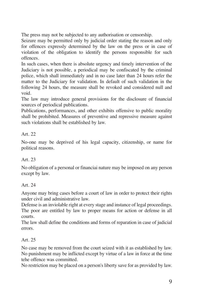The press may not be subjected to any authorisation or censorship.

Seizure may be permitted only by judicial order stating the reason and only for offences expressly determined by the law on the press or in case of violation of the obligation to identify the persons responsible for such offences.

In such cases, when there is absolute urgency and timely intervention of the Judiciary is not possible, a periodical may be confiscated by the criminal police, which shall immediately and in no case later than 24 hours refer the matter to the Judiciary for validation. In default of such validation in the following 24 hours, the measure shall be revoked and considered null and void.

The law may introduce general provisions for the disclosure of financial sources of periodical publications.

Publications, performances, and other exhibits offensive to public morality shall be prohibited. Measures of preventive and repressive measure against such violations shall be established by law.

#### Art. 22

No-one may be deprived of his legal capacity, citizenship, or name for political reasons.

#### Art $23$

No obligation of a personal or financiai nature may be imposed on any person except by law.

#### Art. 24

Anyone may bring cases before a court of law in order to protect their rights under civil and administrative law.

Defense is an inviolable right at every stage and instance of legal proceedings. The poor are entitled by law to proper means for action or defense in all courts.

The law shall define the conditions and forms of reparation in case of judicial errors.

#### Art. 25

No case may be removed from the court seized with it as established by law. No punishment may be inflicted except by virtue of a law in force at the time tehe offence was committed.

No restriction may be placed on a person's liberty save for as provided by law.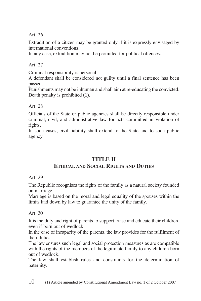Extradition of a citizen may be granted only if it is expressly envisaged by international conventions.

In any case, extradition may not be permitted for political offences.

Art.  $27$ 

Criminal responsibility is personal.

A defendant shall be considered not guilty until a final sentence has been passed.

Punishments may not be inhuman and shall aim at re-educating the convicted. Death penalty is prohibited (1).

Art.  $28$ 

Officials of the State or public agencies shall be directly responsible under criminal, civil, and administrative law for acts committed in violation of rights.

In such cases, civil liability shall extend to the State and to such public agency.

# **TITLE II**

# **ETHICAL AND SOCIAL RIGHTS AND DUTIES**

#### Art. 29

The Republic recognises the rights of the family as a natural society founded on marriage.

Marriage is based on the moral and legal equality of the spouses within the limits laid down by law to guarantee the unity of the family.

Art. 30

It is the duty and right of parents to support, raise and educate their children, even if born out of wedlock.

In the case of incapacity of the parents, the law provides for the fulfilment of their duties.

The law ensures such legal and social protection measures as are compatible with the rights of the members of the legitimate family to any children born out of wedlock.

The law shall establish rules and constraints for the determination of paternity.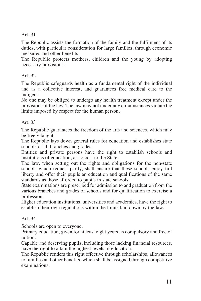The Republic assists the formation of the family and the fulfilment of its duties, with particular consideration for large families, through economic measures and other benefits.

The Republic protects mothers, children and the young by adopting necessary provisions.

# Art. 32

The Republic safeguards health as a fundamental right of the individual and as a collective interest, and guarantees free medical care to the indigent.

No one may be obliged to undergo any health treatment except under the provisions of the law. The law may not under any circumstances violate the limits imposed by respect for the human person.

# Art. 33

The Republic guarantees the freedom of the arts and sciences, which may be freely taught.

The Republic lays down general rules for education and establishes state schools of all branches and grades.

Entities and private persons have the right to establish schools and institutions of education, at no cost to the State.

The law, when setting out the rights and obligations for the non-state schools which request parity, shall ensure that these schools enjoy full liberty and offer their pupils an education and qualifications of the same standards as those afforded to pupils in state schools.

State examinations are prescribed for admission to and graduation from the various branches and grades of schools and for qualification to exercise a profession.

Higher education institutions, universities and academies, have the right to establish their own regulations within the limits laid down by the law.

# Art. 34

Schools are open to everyone.

Primary education, given for at least eight years, is compulsory and free of tuition.

Capable and deserving pupils, including those lacking financial resources, have the right to attain the highest levels of education.

The Republic renders this right effective through scholarships, allowances to families and other benefits, which shall be assigned through competitive examinations.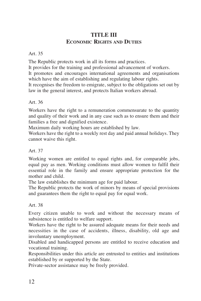# **TITLE III ECONOMIC RIGHTS AND DUTIES**

#### Art. 35

The Republic protects work in all its forms and practices.

It provides for the training and professional advancement of workers.

It promotes and encourages international agreements and organisations which have the aim of establishing and regulating labour rights.

It recognises the freedom to emigrate, subject to the obligations set out by law in the general interest, and protects Italian workers abroad.

#### Art. 36

Workers have the right to a remuneration commensurate to the quantity and quality of their work and in any case such as to ensure them and their families a free and dignified existence.

Maximum daily working hours are established by law.

Workers have the right to a weekly rest day and paid annual holidays. They cannot waive this right.

#### Art. 37

Working women are entitled to equal rights and, for comparable jobs, equal pay as men. Working conditions must allow women to fulfil their essential role in the family and ensure appropriate protection for the mother and child.

The law establishes the minimum age for paid labour.

The Republic protects the work of minors by means of special provisions and guarantees them the right to equal pay for equal work.

#### Art. 38

Every citizen unable to work and without the necessary means of subsistence is entitled to welfare support.

Workers have the right to be assured adequate means for their needs and necessities in the case of accidents, illness, disability, old age and involuntary unemployment.

Disabled and handicapped persons are entitled to receive education and vocational training.

Responsibilities under this article are entrusted to entities and institutions established by or supported by the State.

Private-sector assistance may be freely provided.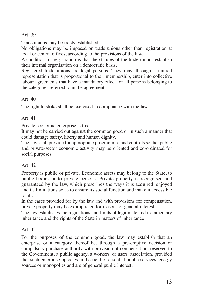Trade unions may be freely established.

No obligations may be imposed on trade unions other than registration at local or central offices, according to the provisions of the law.

A condition for registration is that the statutes of the trade unions establish their internal organisation on a democratic basis.

Registered trade unions are legal persons. They may, through a unified representation that is proportional to their membership, enter into collective labour agreements that have a mandatory effect for all persons belonging to the categories referred to in the agreement.

#### Art $40$

The right to strike shall be exercised in compliance with the law.

#### Art. 41

Private economic enterprise is free.

It may not be carried out against the common good or in such a manner that could damage safety, liberty and human dignity.

The law shall provide for appropriate programmes and controls so that public and private-sector economic activity may be oriented and co-ordinated for social purposes.

#### Art. 42

Property is public or private. Economic assets may belong to the State, to public bodies or to private persons. Private property is recognised and guaranteed by the law, which prescribes the ways it is acquired, enjoyed and its limitations so as to ensure its social function and make it accessible to all.

In the cases provided for by the law and with provisions for compensation, private property may be expropriated for reasons of general interest.

The law establishes the regulations and limits of legitimate and testamentary inheritance and the rights of the State in matters of inheritance.

#### Art. 43

For the purposes of the common good, the law may establish that an enterprise or a category thereof be, through a pre-emptive decision or compulsory purchase authority with provision of compensation, reserved to the Government, a public agency, a workers' or users' association, provided that such enterprise operates in the field of essential public services, energy sources or monopolies and are of general public interest.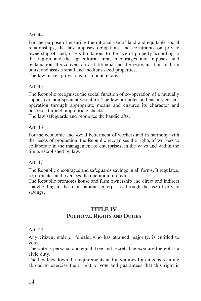For the purpose of ensuring the rational use of land and equitable social relationships, the law imposes obligations and constraints on private ownership of land; it sets limitations to the size of property according to the region and the agricultural area; encourages and imposes land reclamation, the conversion of latifundia and the reorganisation of farm units; and assists small and medium-sized properties.

The law makes provisions for mountain areas.

#### Art. 45

The Republic recognises the social function of co-operation of a mutually supportive, non-speculative nature. The law promotes and encourages cooperation through appropriate means and ensures its character and purposes through appropriate checks.

The law safeguards and promotes the handicrafts.

#### Art. 46

For the economic and social betterment of workers and in harmony with the needs of production, the Republic recognises the rights of workers to collaborate in the management of enterprises, in the ways and within the limits established by law.

#### Art. 47

The Republic encourages and safeguards savings in all forms. It regulates, co-ordinates and oversees the operation of credit.

The Republic promotes house and farm ownership and direct and indirect shareholding in the main national enterprises through the use of private savings.

#### **TITLE IV POLITICAL RIGHTS AND DUTIES**

#### Art. 48

Any citizen, male or female, who has attained majority, is entitled to vote.

The vote is personal and equal, free and secret. The exercise thereof is a civic duty.

The law lays down the requirements and modalities for citizens residing abroad to exercise their right to vote and guarantees that this right is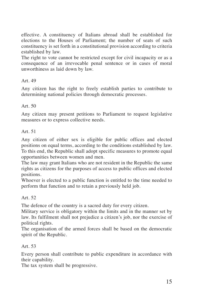effective. A constituency of Italians abroad shall be established for elections to the Houses of Parliament; the number of seats of such constituency is set forth in a constitutional provision according to criteria established by law.

The right to vote cannot be restricted except for civil incapacity or as a consequence of an irrevocable penal sentence or in cases of moral unworthiness as laid down by law.

#### Art. 49

Any citizen has the right to freely establish parties to contribute to determining national policies through democratic processes.

#### Art. 50

Any citizen may present petitions to Parliament to request legislative measures or to express collective needs.

#### Art. 51

Any citizen of either sex is eligible for public offices and elected positions on equal terms, according to the conditions established by law. To this end, the Republic shall adopt specific measures to promote equal opportunities between women and men.

The law may grant Italians who are not resident in the Republic the same rights as citizens for the purposes of access to public offices and elected positions.

Whoever is elected to a public function is entitled to the time needed to perform that function and to retain a previously held job.

#### Art. 52

The defence of the country is a sacred duty for every citizen.

Military service is obligatory within the limits and in the manner set by law. Its fulfilment shall not prejudice a citizen's job, nor the exercise of political rights.

The organisation of the armed forces shall be based on the democratic spirit of the Republic.

#### Art. 53

Every person shall contribute to public expenditure in accordance with their capability.

The tax system shall be progressive.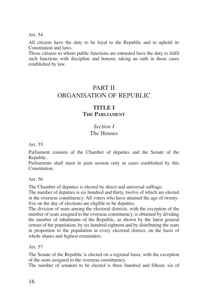All citizens have the duty to be loyal to the Republic and to uphold its Constitution and laws.

Those citizens to whom public functions are entrusted have the duty to fulfil such functions with discipline and honour, taking an oath in those cases established by law.

# PART II ORGANISATION OF REPUBLIC

# **TITLE I THE PARLIAMENT**

#### *Section I* The Houses

Art. 55

Parliament consists of the Chamber of deputies and the Senate of the Republic.

Parliaments shall meet in joint session only in cases established by this **Constitution** 

Art. 56

The Chamber of deputies is elected by direct and universal suffrage.

The number of deputies is six hundred and thirty, twelve of which are elected in the overseas constituency. All voters who have attained the age of twentyfive on the day of elections are eligible to be deputies.

The division of seats among the electoral districts, with the exception of the number of seats assigned to the overseas constituency, is obtained by dividing the number of inhabitants of the Republic, as shown by the latest general census of the population, by six hundred eighteen and by distributing the seats in proportion to the population in every electoral district, on the basis of whole shares and highest remainders.

Art. 57

The Senate of the Republic is elected on a regional basis, with the exception of the seats assigned to the overseas constituency.

The number of senators to be elected is three hundred and fifteen, six of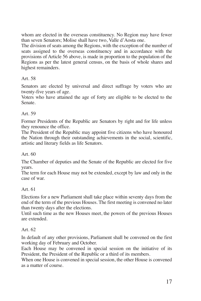whom are elected in the overseas constituency. No Region may have fewer than seven Senators; Molise shall have two, Valle d'Aosta one.

The division of seats among the Regions, with the exception of the number of seats assigned to the overseas constituency and in accordance with the provisions of Article 56 above, is made in proportion to the population of the Regions as per the latest general census, on the basis of whole shares and highest remainders.

#### Art. 58

Senators are elected by universal and direct suffrage by voters who are twenty-five years of age.

Voters who have attained the age of forty are eligible to be elected to the Senate.

#### Art. 59

Former Presidents of the Republic are Senators by right and for life unless they renounce the office.

The President of the Republic may appoint five citizens who have honoured the Nation through their outstanding achievements in the social, scientific, artistic and literary fields as life Senators.

#### Art. 60

The Chamber of deputies and the Senate of the Republic are elected for five years.

The term for each House may not be extended, except by law and only in the case of war.

#### Art. 61

Elections for a new Parliament shall take place within seventy days from the end of the term of the previous Houses. The first meeting is convened no later than twenty days after the elections.

Until such time as the new Houses meet, the powers of the previous Houses are extended.

#### Art. 62

In default of any other provisions, Parliament shall be convened on the first working day of February and October.

Each House may be convened in special session on the initiative of its President, the President of the Republic or a third of its members.

When one House is convened in special session, the other House is convened as a matter of course.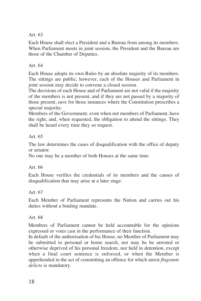Each House shall elect a President and a Bureau from among its members. When Parliament meets in joint session, the President and the Bureau are those of the Chamber of Deputies.

# Art. 64

Each House adopts its own Rules by an absolute majority of its members. The sittings are public; however, each of the Houses and Parliament in joint session may decide to convene a closed session.

The decisions of each House and of Parliament are not valid if the majority of the members is not present, and if they are not passed by a majority of those present, save for those instances where the Constitution prescribes a special majority.

Members of the Government, even when not members of Parliament, have the right, and, when requested, the obligation to attend the sittings. They shall be heard every time they so request.

Art. 65

The law determines the cases of disqualification with the office of deputy or senator.

No one may be a member of both Houses at the same time.

Art. 66

Each House verifies the credentials of its members and the causes of disqualification that may arise at a later stage.

Art. 67

Each Member of Parliament represents the Nation and carries out his duties without a binding mandate.

Art. 68

Members of Parliament cannot be held accountable for the opinions expressed or votes cast in the performance of their function.

In default of the authorisation of his House, no Member of Parliament may be submitted to personal or home search, nor may he be arrested or otherwise deprived of his personal freedom, nor held in detention, except when a final court sentence is enforced, or when the Member is apprehended in the act of committing an offence for which arrest *flagrante delicto* is mandatory.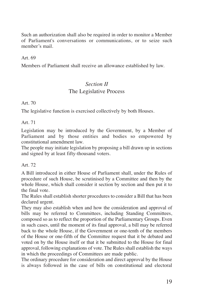Such an authorization shall also be required in order to monitor a Member of Parliament's conversations or communications, or to seize such member's mail.

Art. 69

Members of Parliament shall receive an allowance established by law.

# *Section II* The Legislative Process

Art. 70

The legislative function is exercised collectively by both Houses.

Art. 71

Legislation may be introduced by the Government, by a Member of Parliament and by those entities and bodies so empowered by constitutional amendment law.

The people may initiate legislation by proposing a bill drawn up in sections and signed by at least fifty-thousand voters.

#### Art. 72

A Bill introduced in either House of Parliament shall, under the Rules of procedure of such House, be scrutinised by a Committee and then by the whole House, which shall consider it section by section and then put it to the final vote.

The Rules shall establish shorter procedures to consider a Bill that has been declared urgent.

They may also establish when and how the consideration and approval of bills may be referred to Committees, including Standing Committees, composed so as to reflect the proportion of the Parliamentary Groups. Even in such cases, until the moment of its final approval, a bill may be referred back to the whole House, if the Government or one-tenth of the members of the House or one-fifth of the Committee request that it be debated and voted on by the House itself or that it be submitted to the House for final approval, following explanations of vote. The Rules shall establish the ways in which the proceedings of Committees are made public.

The ordinary procedure for consideration and direct approval by the House is always followed in the case of bills on constitutional and electoral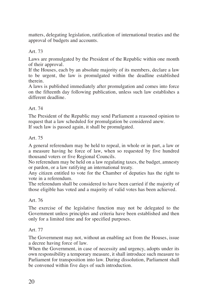matters, delegating legislation, ratification of international treaties and the approval of budgets and accounts.

#### Art. 73

Laws are promulgated by the President of the Republic within one month of their approval.

If the Houses, each by an absolute majority of its members, declare a law to be urgent, the law is promulgated within the deadline established therein.

A laws is published immediately after promulgation and comes into force on the fifteenth day following publication, unless such law establishes a different deadline.

#### Art. 74

The President of the Republic may send Parliament a reasoned opinion to request that a law scheduled for promulgation be considered anew. If such law is passed again, it shall be promulgated.

#### Art. 75

A general referendum may be held to repeal, in whole or in part, a law or a measure having he force of law, when so requested by five hundred thousand voters or five Regional Councils.

No referendum may be held on a law regulating taxes, the budget, amnesty or pardon, or a law ratifying an international treaty.

Any citizen entitled to vote for the Chamber of deputies has the right to vote in a referendum.

The referendum shall be considered to have been carried if the majority of those eligible has voted and a majority of valid votes has been achieved.

#### Art. 76

The exercise of the legislative function may not be delegated to the Government unless principles and criteria have been established and then only for a limited time and for specified purposes.

#### Art. 77

The Government may not, without an enabling act from the Houses, issue a decree having force of law.

When the Government, in case of necessity and urgency, adopts under its own responsibility a temporary measure, it shall introduce such measure to Parliament for transposition into law. During dissolution, Parliament shall be convened within five days of such introduction.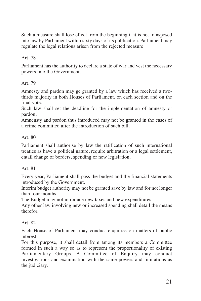Such a measure shall lose effect from the beginning if it is not transposed into law by Parliament within sixty days of its publication. Parliament may regulate the legal relations arisen from the rejected measure.

#### Art. 78

Parliament has the authority to declare a state of war and vest the necessary powers into the Government.

#### Art. 79

Amnesty and pardon may ge granted by a law which has received a twothirds majority in both Houses of Parliament, on each section and on the final vote.

Such law shall set the deadline for the implementation of amnesty or pardon.

Amnensty and pardon thus introduced may not be granted in the cases of a crime committed after the introduction of such bill.

#### Art. 80

Parliament shall authorise by law the ratification of such international treaties as have a political nature, require arbitration or a legal settlement, entail change of borders, spending or new legislation.

#### Art. 81

Every year, Parliament shall pass the budget and the financial statements introduced by the Government.

Interim budget authority may not be granted save by law and for not longer than four months.

The Budget may not introduce new taxes and new expenditures.

Any other law involving new or increased spending shall detail the means therefor.

#### Art. 82

Each House of Parliament may conduct enquiries on matters of public interest.

For this purpose, it shall detail from among its members a Committee formed in such a way so as to represent the proportionality of existing Parliamentary Groups. A Committee of Enquiry may conduct investigations and examination with the same powers and limitations as the judiciary.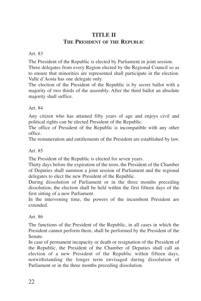# **TITLE II THE PRESIDENT OF THE REPUBLIC**

#### Art. 83

The President of the Republic is elected by Parliament in joint session. Three delegates from every Region elected by the Regional Council so as to ensure that minorities are represented shall participate in the election. Valle d'Aosta has one delegate only.

The election of the President of the Republic is by secret ballot with a majority of two thirds of the assembly. After the third ballot an absolute majority shall suffice.

#### Art. 84

Any citizen who has attained fifty years of age and enjoys civil and political rights can be elected President of the Republic.

The office of President of the Republic is incompatible with any other office.

The remuneration and entitlements of the President are established by law.

#### Art. 85

The President of the Republic is elected for seven years.

Thirty days before the expiration of the term, the President of the Chamber of Deputies shall summon a joint session of Parliament and the regional delegates to elect the new President of the Republic.

During dissolution of Parliament or in the three months preceding dissolution, the election shall be held within the first fifteen days of the first sitting of a new Parliament.

In the intervening time, the powers of the incumbent President are extended.

#### Art. 86

The functions of the President of the Republic, in all cases in which the President cannot perform them, shall be performed by the President of the Senate.

In case of permanent incapacity or death or resignation of the President of the Republic, the President of the Chamber of Deputies shall call an election of a new President of the Republic within fifteen days, notwithstanding the longer term envisaged during dissolution of Parliament or in the three months preceding dissolution.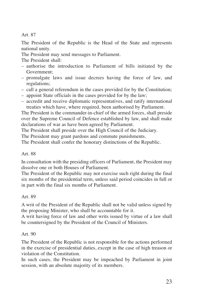The President of the Republic is the Head of the State and represents national unity.

The President may send messages to Parliament.

The President shall:

- authorise the introduction to Parliament of bills initiated by the Government;
- promulgate laws and issue decrees having the force of law, and regulations;
- call a general referendum in the cases provided for by the Constitution;
- appoint State officials in the cases provided for by the law;
- accredit and receive diplomatic representatives, and ratify international treaties which have, where required, been authorised by Parliament.

The President is the commander-in-chief of the armed forces, shall preside over the Supreme Council of Defence established by law, and shall make declarations of war as have been agreed by Parliament.

The President shall preside over the High Council of the Judiciary.

The President may grant pardons and commute punishments.

The President shall confer the honorary distinctions of the Republic.

#### Art. 88

In consultation with the presiding officers of Parliament, the President may dissolve one or both Houses of Parliament.

The President of the Republic may not exercise such right during the final six months of the presidential term, unless said period coincides in full or in part with the final six months of Parliament.

#### Art. 89

A writ of the President of the Republic shall not be valid unless signed by the proposing Minister, who shall be accountable for it.

A writ having force of law and other writs issued by virtue of a law shall be countersigned by the President of the Council of Ministers.

#### Art. 90

The President of the Republic is not responsible for the actions performed in the exercise of presidential duties, except in the case of high treason or violation of the Constitution.

In such cases, the President may be impeached by Parliament in joint session, with an absolute majority of its members.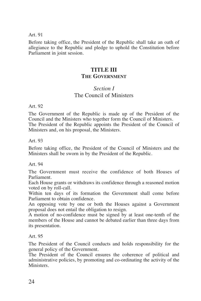Before taking office, the President of the Republic shall take an oath of allegiance to the Republic and pledge to uphold the Constitution before Parliament in joint session.

# **TITLE III THE GOVERNMENT**

# *Section I* The Council of Ministers

Art. 92

The Government of the Republic is made up of the President of the Council and the Ministers who together form the Council of Ministers. The President of the Republic appoints the President of the Council of Ministers and, on his proposal, the Ministers.

Art. 93

Before taking office, the President of the Council of Ministers and the Ministers shall be sworn in by the President of the Republic.

Art. 94

The Government must receive the confidence of both Houses of Parliament.

Each House grants or withdraws its confidence through a reasoned motion voted on by roll-call.

Within ten days of its formation the Government shall come before Parliament to obtain confidence.

An opposing vote by one or both the Houses against a Government proposal does not entail the obligation to resign.

A motion of no-confidence must be signed by at least one-tenth of the members of the House and cannot be debated earlier than three days from its presentation.

Art. 95

The President of the Council conducts and holds responsibility for the general policy of the Government.

The President of the Council ensures the coherence of political and administrative policies, by promoting and co-ordinating the activity of the **Ministers**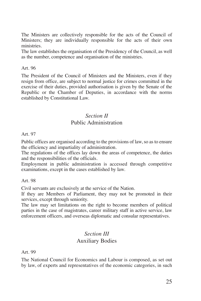The Ministers are collectively responsible for the acts of the Council of Ministers; they are individually responsible for the acts of their own ministries.

The law establishes the organisation of the Presidency of the Council, as well as the number, competence and organisation of the ministries.

#### Art. 96

The President of the Council of Ministers and the Ministers, even if they resign from office, are subject to normal justice for crimes committed in the exercise of their duties, provided authorisation is given by the Senate of the Republic or the Chamber of Deputies, in accordance with the norms established by Constitutional Law.

#### *Section II*

#### Public Administration

Art. 97

Public offices are organised according to the provisions of law, so as to ensure the efficiency and impartiality of administration.

The regulations of the offices lay down the areas of competence, the duties and the responsibilities of the officials.

Employment in public administration is accessed through competitive examinations, except in the cases established by law.

#### Art. 98

Civil servants are exclusively at the service of the Nation.

If they are Members of Parliament, they may not be promoted in their services, except through seniority.

The law may set limitations on the right to become members of political parties in the case of magistrates, career military staff in active service, law enforcement officers, and overseas diplomatic and consular representatives.

# *Section III* Auxiliary Bodies

#### Art. 99

The National Council for Economics and Labour is composed, as set out by law, of experts and representatives of the economic categories, in such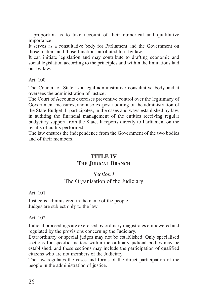a proportion as to take account of their numerical and qualitative importance.

It serves as a consultative body for Parliament and the Government on those matters and those functions attributed to it by law.

It can initiate legislation and may contribute to drafting economic and social legislation according to the principles and within the limitations laid out by law.

Art. 100

The Council of State is a legal-administrative consultative body and it oversees the administration of justice.

The Court of Accounts exercises preventive control over the legitimacy of Government measures, and also ex-post auditing of the administration of the State Budget. It participates, in the cases and ways established by law, in auditing the financial management of the entities receiving regular budgetary support from the State. It reports directly to Parliament on the results of audits performed.

The law ensures the independence from the Government of the two bodies and of their members.

# **TITLE IV THE JUDICAL BRANCH**

#### *Section I*

#### The Organisation of the Judiciary

#### Art. 101

Justice is administered in the name of the people. Judges are subject only to the law.

Art. 102

Judicial proceedings are exercised by ordinary magistrates empowered and regulated by the provisions concerning the Judiciary.

Extraordinary or special judges may not be established. Only specialised sections for specific matters within the ordinary judicial bodies may be established, and these sections may include the participation of qualified citizens who are not members of the Judiciary.

The law regulates the cases and forms of the direct participation of the people in the administration of justice.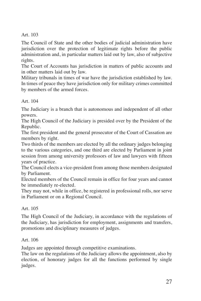The Council of State and the other bodies of judicial administration have jurisdiction over the protection of legitimate rights before the public administration and, in particular matters laid out by law, also of subjective rights.

The Court of Accounts has jurisdiction in matters of public accounts and in other matters laid out by law.

Military tribunals in times of war have the jurisdiction established by law. In times of peace they have jurisdiction only for military crimes committed by members of the armed forces.

Art. 104

The Judiciary is a branch that is autonomous and independent of all other powers.

The High Council of the Judiciary is presided over by the President of the Republic.

The first president and the general prosecutor of the Court of Cassation are members by right.

Two thirds of the members are elected by all the ordinary judges belonging to the various categories, and one third are elected by Parliament in joint session from among university professors of law and lawyers with fifteen years of practice.

The Council elects a vice-president from among those members designated by Parliament.

Elected members of the Council remain in office for four years and cannot be immediately re-elected.

They may not, while in office, be registered in professional rolls, nor serve in Parliament or on a Regional Council.

#### Art. 105

The High Council of the Judiciary, in accordance with the regulations of the Judiciary, has jurisdiction for employment, assignments and transfers, promotions and disciplinary measures of judges.

#### Art. 106

Judges are appointed through competitive examinations.

The law on the regulations of the Judiciary allows the appointment, also by election, of honorary judges for all the functions performed by single judges.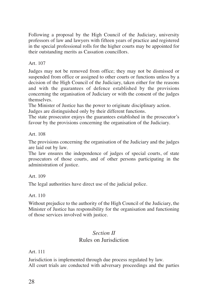Following a proposal by the High Council of the Judiciary, university professors of law and lawyers with fifteen years of practice and registered in the special professional rolls for the higher courts may be appointed for their outstanding merits as Cassation councillors.

#### Art. 107

Judges may not be removed from office; they may not be dismissed or suspended from office or assigned to other courts or functions unless by a decision of the High Council of the Judiciary, taken either for the reasons and with the guarantees of defence established by the provisions concerning the organisation of Judiciary or with the consent of the judges themselves.

The Minister of Justice has the power to originate disciplinary action. Judges are distinguished only by their different functions.

The state prosecutor enjoys the guarantees established in the prosecutor's favour by the provisions concerning the organisation of the Judiciary.

Art. 108

The provisions concerning the organisation of the Judiciary and the judges are laid out by law.

The law ensures the independence of judges of special courts, of state prosecutors of those courts, and of other persons participating in the administration of justice.

Art. 109

The legal authorities have direct use of the judicial police.

Art. 110

Without prejudice to the authority of the High Council of the Judiciary, the Minister of Justice has responsibility for the organisation and functioning of those services involved with justice.

# *Section II* Rules on Jurisdiction

Art. 111

Jurisdiction is implemented through due process regulated by law. All court trials are conducted with adversary proceedings and the parties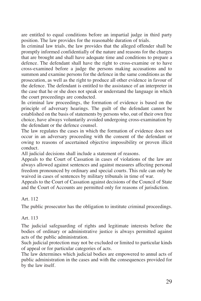are entitled to equal conditions before an impartial judge in third party position. The law provides for the reasonable duration of trials.

In criminal law trials, the law provides that the alleged offender shall be promptly informed confidentially of the nature and reasons for the charges that are brought and shall have adequate time and conditions to prepare a defence. The defendant shall have the right to cross-examine or to have cross-examined before a judge the persons making accusations and to summon and examine persons for the defence in the same conditions as the prosecution, as well as the right to produce all other evidence in favour of the defence. The defendant is entitled to the assistance of an interpreter in the case that he or she does not speak or understand the language in which the court proceedings are conducted.

In criminal law proceedings, the formation of evidence is based on the principle of adversary hearings. The guilt of the defendant cannot be established on the basis of statements by persons who, out of their own free choice, have always voluntarily avoided undergoing cross-examination by the defendant or the defence counsel.

The law regulates the cases in which the formation of evidence does not occur in an adversary proceeding with the consent of the defendant or owing to reasons of ascertained objective impossibility or proven illicit conduct.

All judicial decisions shall include a statement of reasons.

Appeals to the Court of Cassation in cases of violations of the law are always allowed against sentences and against measures affecting personal freedom pronounced by ordinary and special courts. This rule can only be waived in cases of sentences by military tribunals in time of war.

Appeals to the Court of Cassation against decisions of the Council of State and the Court of Accounts are permitted only for reasons of jurisdiction.

Art. 112

The public prosecutor has the obligation to institute criminal proceedings.

#### Art. 113

The judicial safeguarding of rights and legitimate interests before the bodies of ordinary or administrative justice is always permitted against acts of the public administration.

Such judicial protection may not be excluded or limited to particular kinds of appeal or for particular categories of acts.

The law determines which judicial bodies are empowered to annul acts of public administration in the cases and with the consequences provided for by the law itself.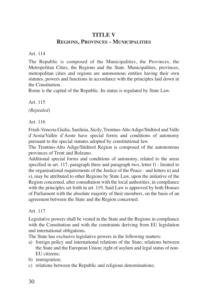# **TITLE V REGIONS, PROVINCES - MUNICIPALITIES**

#### Art. 114

The Republic is composed of the Municipalities, the Provinces, the Metropolitan Cities, the Regions and the State. Municipalities, provinces, metropolitan cities and regions are autonomous entities having their own statutes, powers and functions in accordance with the principles laid down in the Constitution.

Rome is the capital of the Republic. Its status is regulated by State Law.

Art. 115

*(Repealed)*

Art. 116

Friuli-Venezia Giulia, Sardinia, Sicily, Trentino-Alto Adige/Südtirol and Valle d'Aosta/Vallée d'Aoste have special forms and conditions of autonomy pursuant to the special statutes adopted by constitutional law.

The Trentino-Alto Adige/Südtirol Region is composed of the autonomous provinces of Trent and Bolzano.

Additional special forms and conditions of autonomy, related to the areas specified in art. 117, paragraph three and paragraph two, letter l) - limited to the organisational requirements of the Justice of the Peace - and letters n) and s), may be attributed to other Regions by State Law, upon the initiative of the Region concerned, after consultation with the local authorities, in compliance with the principles set forth in art. 119. Said Law is approved by both Houses of Parliament with the absolute majority of their members, on the basis of an agreement between the State and the Region concerned.

Art. 117

Legislative powers shall be vested in the State and the Regions in compliance with the Constitution and with the constraints deriving from EU legislation and international obligations.

The State has exclusive legislative powers in the following matters:

a) foreign policy and international relations of the State; relations between the State and the European Union; right of asylum and legal status of non-EU citizens;

b) immigration;

c) relations between the Republic and religious denominations;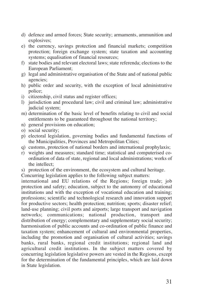- d) defence and armed forces; State security; armaments, ammunition and explosives;
- e) the currency, savings protection and financial markets; competition protection; foreign exchange system; state taxation and accounting systems; equalisation of financial resources;
- f) state bodies and relevant electoral laws; state referenda; elections to the European Parliament;
- g) legal and administrative organisation of the State and of national public agencies;
- h) public order and security, with the exception of local administrative police;
- i) citizenship, civil status and register offices;
- l) jurisdiction and procedural law; civil and criminal law; administrative judicial system;
- m) determination of the basic level of benefits relating to civil and social entitlements to be guaranteed throughout the national territory;
- n) general provisions on education;
- o) social security;
- p) electoral legislation, governing bodies and fundamental functions of the Municipalities, Provinces and Metropolitan Cities;
- q) customs, protection of national borders and international prophylaxis;
- r) weights and measures; standard time; statistical and computerised coordination of data of state, regional and local administrations; works of the intellect;
- s) protection of the environment, the ecosystem and cultural heritage.
- Concurring legislation applies to the following subject matters:

international and EU relations of the Regions; foreign trade; job protection and safety; education, subject to the autonomy of educational institutions and with the exception of vocational education and training; professions; scientific and technological research and innovation support for productive sectors; health protection; nutrition; sports; disaster relief; land-use planning; civil ports and airports; large transport and navigation networks; communications; national production, transport and distribution of energy; complementary and supplementary social security; harmonisation of public accounts and co-ordination of public finance and taxation system; enhancement of cultural and environmental properties, including the promotion and organisation of cultural activities; savings banks, rural banks, regional credit institutions; regional land and agricultural credit institutions. In the subject matters covered by concurring legislation legislative powers are vested in the Regions, except for the determination of the fundamental principles, which are laid down in State legislation.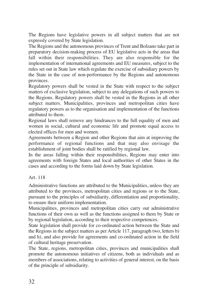The Regions have legislative powers in all subject matters that are not expressly covered by State legislation.

The Regions and the autonomous provinces of Trent and Bolzano take part in preparatory decision-making process of EU legislative acts in the areas that fall within their responsibilities. They are also responsible for the implementation of international agreements and EU measures, subject to the rules set out in State law which regulate the exercise of subsidiary powers by the State in the case of non-performance by the Regions and autonomous provinces.

Regulatory powers shall be vested in the State with respect to the subject matters of exclusive legislation, subject to any delegations of such powers to the Regions. Regulatory powers shall be vested in the Regions in all other subject matters. Municipalities, provinces and metropolitan cities have regulatory powers as to the organisation and implementation of the functions attributed to them.

Regional laws shall remove any hindrances to the full equality of men and women in social, cultural and economic life and promote equal access to elected offices for men and women.

Agreements between a Region and other Regions that aim at improving the performance of regional functions and that may also envisage the establishment of joint bodies shall be ratified by regional law.

In the areas falling within their responsibilities, Regions may enter into agreements with foreign States and local authorities of other States in the cases and according to the forms laid down by State legislation.

#### Art. 118

Administrative functions are attributed to the Municipalities, unless they are attributed to the provinces, metropolitan cities and regions or to the State, pursuant to the principles of subsidiarity, differentiation and proportionality, to ensure their uniform implementation.

Municipalities, provinces and metropolitan cities carry out administrative functions of their own as well as the functions assigned to them by State or by regional legislation, according to their respective competences.

State legislation shall provide for co-ordinated action between the State and the Regions in the subject matters as per Article 117, paragraph two, letters b) and h), and also provide for agreements and co-ordinated action in the field of cultural heritage preservation.

The State, regions, metropolitan cities, provinces and municipalities shall promote the autonomous initiatives of citizens, both as individuals and as members of associations, relating to activities of general interest, on the basis of the principle of subsidiarity.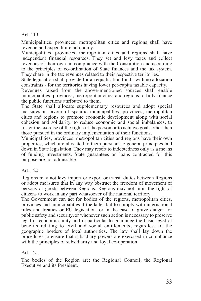Municipalities, provinces, metropolitan cities and regions shall have revenue and expenditure autonomy.

Municipalities, provinces, metropolitan cities and regions shall have independent financial resources. They set and levy taxes and collect revenues of their own, in compliance with the Constitution and according to the principles of co-ordination of State finances and the tax system. They share in the tax revenues related to their respective territories.

State legislation shall provide for an equalisation fund - with no allocation constraints - for the territories having lower per-capita taxable capacity.

Revenues raised from the above-mentioned sources shall enable municipalities, provinces, metropolitan cities and regions to fully finance the public functions attributed to them.

The State shall allocate supplementary resources and adopt special measures in favour of specific municipalities, provinces, metropolitan cities and regions to promote economic development along with social cohesion and solidarity, to reduce economic and social imbalances, to foster the exercise of the rights of the person or to achieve goals other than those pursued in the ordinary implementation of their functions.

Municipalities, provinces, metropolitan cities and regions have their own properties, which are allocated to them pursuant to general principles laid down in State legislation. They may resort to indebtedness only as a means of funding investments. State guarantees on loans contracted for this purpose are not admissible.

Art. 120

Regions may not levy import or export or transit duties between Regions or adopt measures that in any way obstruct the freedom of movement of persons or goods between Regions. Regions may not limit the right of citizens to work in any part whatsoever of the national territory.

The Government can act for bodies of the regions, metropolitan cities, provinces and municipalities if the latter fail to comply with international rules and treaties or EU legislation, or in the case of grave danger for public safety and security, or whenever such action is necessary to preserve legal or economic unity and in particular to guarantee the basic level of benefits relating to civil and social entitlements, regardless of the geographic borders of local authorities. The law shall lay down the procedures to ensure that subsidiary powers are exercised in compliance with the principles of subsidiarity and loyal co-operation.

#### Art. 121

The bodies of the Region are: the Regional Council, the Regional Executive and its President.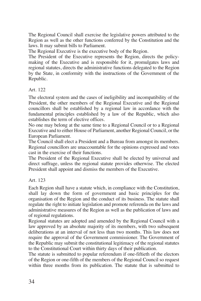The Regional Council shall exercise the legislative powers attributed to the Region as well as the other functions conferred by the Constitution and the laws. It may submit bills to Parliament.

The Regional Executive is the executive body of the Region.

The President of the Executive represents the Region, directs the policymaking of the Executive and is responsible for it, promulgates laws and regional statutes, directs the administrative functions delegated to the Region by the State, in conformity with the instructions of the Government of the Republic.

#### Art. 122

The electoral system and the cases of ineligibility and incompatibility of the President, the other members of the Regional Executive and the Regional councillors shall be established by a regional law in accordance with the fundamental principles established by a law of the Republic, which also establishes the term of elective offices.

No one may belong at the same time to a Regional Council or to a Regional Executive and to either House of Parliament, another Regional Council, or the European Parliament.

The Council shall elect a President and a Bureau from amongst its members. Regional councillors are unaccountable for the opinions expressed and votes cast in the exercise of their functions.

The President of the Regional Executive shall be elected by universal and direct suffrage, unless the regional statute provides otherwise. The elected President shall appoint and dismiss the members of the Executive.

#### Art. 123

Each Region shall have a statute which, in compliance with the Constitution, shall lay down the form of government and basic principles for the organisation of the Region and the conduct of its business. The statute shall regulate the right to initiate legislation and promote referenda on the laws and administrative measures of the Region as well as the publication of laws and of regional regulations.

Regional statutes are adopted and amended by the Regional Council with a law approved by an absolute majority of its members, with two subsequent deliberations at an interval of not less than two months. This law does not require the approval of the Government commissioner. The Government of the Republic may submit the constitutional legitimacy of the regional statutes to the Constitutional Court within thirty days of their publication.

The statute is submitted to popular referendum if one-fiftieth of the electors of the Region or one-fifth of the members of the Regional Council so request within three months from its publication. The statute that is submitted to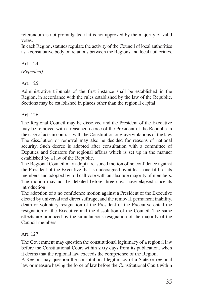referendum is not promulgated if it is not approved by the majority of valid votes.

In each Region, statutes regulate the activity of the Council of local authorities as a consultative body on relations between the Regions and local authorities.

# Art. 124

#### *(Repealed)*

Art. 125

Administrative tribunals of the first instance shall be established in the Region, in accordance with the rules established by the law of the Republic. Sections may be established in places other than the regional capital.

#### Art. 126

The Regional Council may be dissolved and the President of the Executive may be removed with a reasoned decree of the President of the Republic in the case of acts in contrast with the Constitution or grave violations of the law. The dissolution or removal may also be decided for reasons of national security. Such decree is adopted after consultation with a committee of Deputies and Senators for regional affairs which is set up in the manner established by a law of the Republic.

The Regional Council may adopt a reasoned motion of no confidence against the President of the Executive that is undersigned by at least one-fifth of its members and adopted by roll call vote with an absolute majority of members. The motion may not be debated before three days have elapsed since its introduction.

The adoption of a no confidence motion against a President of the Executive elected by universal and direct suffrage, and the removal, permanent inability, death or voluntary resignation of the President of the Executive entail the resignation of the Executive and the dissolution of the Council. The same effects are produced by the simultaneous resignation of the majority of the Council members.

#### Art. 127

The Government may question the constitutional legitimacy of a regional law before the Constitutional Court within sixty days from its publication, when it deems that the regional law exceeds the competence of the Region.

A Region may question the constitutional legitimacy of a State or regional law or measure having the force of law before the Constitutional Court within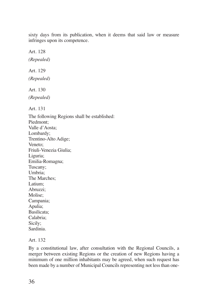sixty days from its publication, when it deems that said law or measure infringes upon its competence.

Art. 128 *(Repealed)* Art. 129 *(Repealed)* Art. 130 *(Repealed)* Art. 131 The following Regions shall be established: Piedmont; Valle d'Aosta; Lombardy; Trentino-Alto Adige; Veneto; Friuli-Venezia Giulia; Liguria; Emilia-Romagna; Tuscany; Umbria; The Marches; Latium; Abruzzi; Molise; Campania; Apulia; Basilicata; Calabria; Sicily;

#### Art. 132

Sardinia.

By a constitutional law, after consultation with the Regional Councils, a merger between existing Regions or the creation of new Regions having a minimum of one million inhabitants may be agreed, when such request has been made by a number of Municipal Councils representing not less than one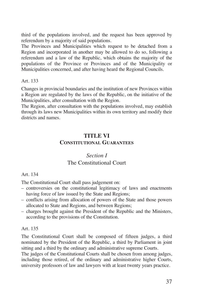third of the populations involved, and the request has been approved by referendum by a majority of said populations.

The Provinces and Municipalities which request to be detached from a Region and incorporated in another may be allowed to do so, following a referendum and a law of the Republic, which obtains the majority of the populations of the Province or Provinces and of the Municipality or Municipalities concerned, and after having heard the Regional Councils.

#### Art. 133

Changes in provincial boundaries and the institution of new Provinces within a Region are regulated by the laws of the Republic, on the initiative of the Municipalities, after consultation with the Region.

The Region, after consultation with the populations involved, may establish through its laws new Municipalities within its own territory and modify their districts and names.

# **TITLE VI CONSTITUTIONAL GUARANTEES**

#### *Section I* The Constitutional Court

#### Art. 134

The Constitutional Court shall pass judgement on:

- controversies on the constitutional legitimacy of laws and enactments having force of law issued by the State and Regions;
- conflicts arising from allocation of powers of the State and those powers allocated to State and Regions, and between Regions;
- charges brought against the President of the Republic and the Ministers, according to the provisions of the Constitution.

#### Art. 135

The Constitutional Court shall be composed of fifteen judges, a third nominated by the President of the Republic, a third by Parliament in joint sitting and a third by the ordinary and administrative supreme Courts.

The judges of the Constitutional Courts shall be chosen from among judges, including those retired, of the ordinary and administrative higher Courts, university professors of law and lawyers with at least twenty years practice.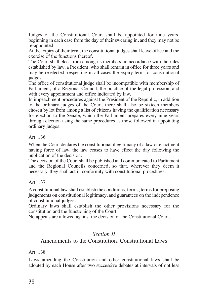Judges of the Constitutional Court shall be appointed for nine years, beginning in each case from the day of their swearing in, and they may not be re-appointed.

At the expiry of their term, the constitutional judges shall leave office and the exercise of the functions thereof.

The Court shall elect from among its members, in accordance with the rules established by law, a President, who shall remain in office for three years and may be re-elected, respecting in all cases the expiry term for constitutional judges.

The office of constitutional judge shall be incompatible with membership of Parliament, of a Regional Council, the practice of the legal profession, and with every appointment and office indicated by law.

In impeachment procedures against the President of the Republic, in addition to the ordinary judges of the Court, there shall also be sixteen members chosen by lot from among a list of citizens having the qualification necessary for election to the Senate, which the Parliament prepares every nine years through election using the same procedures as those followed in appointing ordinary judges.

Art. 136

When the Court declares the constitutional illegitimacy of a law or enactment having force of law, the law ceases to have effect the day following the publication of the decision.

The decision of the Court shall be published and communicated to Parliament and the Regional Councils concerned, so that, wherever they deem it necessary, they shall act in conformity with constitutional procedures.

#### Art. 137

A constitutional law shall establish the conditions, forms, terms for proposing judgements on constitutional legitimacy, and guarantees on the independence of constitutional judges.

Ordinary laws shall establish the other provisions necessary for the constitution and the functioning of the Court.

No appeals are allowed against the decision of the Constitutional Court.

#### *Section II*

#### Amendments to the Constitution. Constitutional Laws

Art. 138

Laws amending the Constitution and other constitutional laws shall be adopted by each House after two successive debates at intervals of not less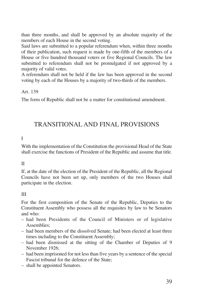than three months, and shall be approved by an absolute majority of the members of each House in the second voting.

Said laws are submitted to a popular referendum when, within three months of their publication, such request is made by one-fifth of the members of a House or five hundred thousand voters or five Regional Councils. The law submitted to referendum shall not be promulgated if not approved by a majority of valid votes.

A referendum shall not be held if the law has been approved in the second voting by each of the Houses by a majority of two-thirds of the members.

Art. 139

The form of Republic shall not be a matter for constitutional amendment.

# TRANSITIONAL AND FINAL PROVISIONS

#### I

With the implementation of the Constitution the provisional Head of the State shall exercise the functions of President of the Republic and assume that title.

#### II

If, at the date of the election of the President of the Republic, all the Regional Councils have not been set up, only members of the two Houses shall participate in the election.

#### III

For the first composition of the Senate of the Republic, Deputies to the Constituent Assembly who possess all the requisites by law to be Senators and who:

- had been Presidents of the Council of Ministers or of legislative Assemblies;
- had been members of the dissolved Senate; had been elected at least three times including to the Constituent Assembly;
- had been dismissed at the sitting of the Chamber of Deputies of 9 November 1926;
- had been imprisoned for not less than five years by a sentence of the special Fascist tribunal for the defence of the State;
- shall be appointed Senators.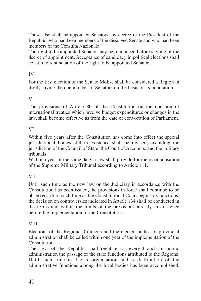Those also shall be appointed Senators, by decree of the President of the Republic, who had been members of the dissolved Senate and who had been members of the Consulta Nazionale.

The right to be appointed Senator may be renounced before signing of the decree of appointment. Acceptance of candidacy in political elections shall constitute renunciation of the right to be appointed Senator.

#### IV

For the first election of the Senate Molise shall be considered a Region in itself, having the due number of Senators on the basis of its population.

#### V

The provisions of Article 80 of the Constitution on the question of international treaties which involve budget expenditures or changes in the law, shall become effective as from the date of convocation of Parliament.

#### VI

Within five years after the Constitution has come into effect the special jurisdictional bodies still in existence shall be revised, excluding the jurisdiction of the Council of State, the Court of Accounts, and the military tribunals.

Within a year of the same date, a law shall provide for the re-organisation of the Supreme Military Tribunal according to Article 111.

#### VII

Until such time as the new law on the Judiciary in accordance with the Constitution has been issued, the provisions in force shall continue to be observed. Until such time as the Constitutional Court begins its functions, the decision on controversies indicated in Article 134 shall be conducted in the forms and within the limits of the provisions already in existence before the implementation of the Constitution.

#### VIII

Elections of the Regional Councils and the elected bodies of provincial administration shall be called within one year of the implementation of the Constitution.

The laws of the Republic shall regulate for every branch of public administration the passage of the state functions attributed to the Regions. Until such time as the re-organisation and re-distribution of the administrative functions among the local bodies has been accomplished,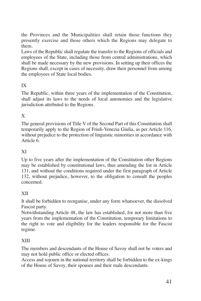the Provinces and the Municipalities shall retain those functions they presently exercise and those others which the Regions may delegate to them.

Laws of the Republic shall regulate the transfer to the Regions of officials and employees of the State, including those from central administrations, which shall be made necessary by the new provisions. In setting up their offices the Regions shall, except in cases of necessity, draw their personnel from among the employees of State local bodies.

#### IX

The Republic, within three years of the implementation of the Constitution, shall adjust its laws to the needs of local autonomies and the legislative jurisdiction attributed to the Regions.

# X

The general provisions of Title V of the Second Part of this Constitution shall temporarily apply to the Region of Friuli-Venezia Giulia, as per Article 116, without prejudice to the protection of linguistic minorities in accordance with Article 6.

#### XI

Up to five years after the implementation of the Constitution other Regions may be established by constitutional laws, thus amending the list in Article 131, and without the conditions required under the first paragraph of Article 132, without prejudice, however, to the obligation to consult the peoples concerned.

#### XII

It shall be forbidden to reorganise, under any form whatsoever, the dissolved Fascist party.

Notwithstanding Article 48, the law has established, for not more than five years from the implementation of the Constitution, temporary limitations to the right to vote and eligibility for the leaders responsible for the Fascist regime.

#### XIII

The members and descendants of the House of Savoy shall not be voters and may not hold public office or elected offices.

Access and sojourn in the national territory shall be forbidden to the ex-kings of the House of Savoy, their spouses and their male descendants.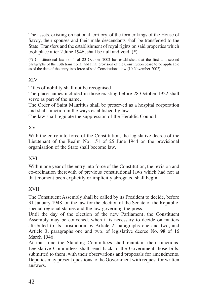The assets, existing on national territory, of the former kings of the House of Savoy, their spouses and their male descendants shall be transferred to the State. Transfers and the establishment of royal rights on said properties which took place after 2 June 1946, shall be null and void. (\*)

(\*) Constitutional law no. 1 of 23 October 2002 has established that the first and second paragraphs of the 13th transitional and final provision of the Constitution cease to be applicable as of the date of the entry into force of said Constitutional law (10 November 2002).

#### XIV

Titles of nobility shall not be recognised.

The place-names included in those existing before 28 October 1922 shall serve as part of the name.

The Order of Saint Mauritius shall be preserved as a hospital corporation and shall function in the ways established by law.

The law shall regulate the suppression of the Heraldic Council.

#### XV

With the entry into force of the Constitution, the legislative decree of the Lieutenant of the Realm No. 151 of 25 June 1944 on the provisional organisation of the State shall become law.

#### XVI

Within one year of the entry into force of the Constitution, the revision and co-ordination therewith of previous constitutional laws which had not at that moment been explicitly or implicitly abrogated shall begin.

#### XVII

The Constituent Assembly shall be called by its President to decide, before 31 January 1948, on the law for the election of the Senate of the Republic, special regional statues and the law governing the press.

Until the day of the election of the new Parliament, the Constituent Assembly may be convened, when it is necessary to decide on matters attributed to its jurisdiction by Article 2, paragraphs one and two, and Article 3, paragraphs one and two, of legislative decree No. 98 of 16 March 1946.

At that time the Standing Committees shall maintain their functions. Legislative Committees shall send back to the Government those bills, submitted to them, with their observations and proposals for amendments. Deputies may present questions to the Government with request for written answers.